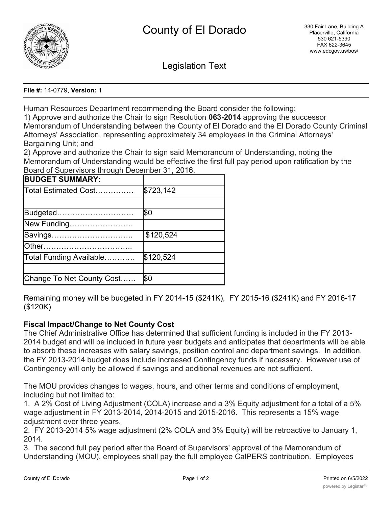

Legislation Text

### **File #:** 14-0779, **Version:** 1

Human Resources Department recommending the Board consider the following:

1) Approve and authorize the Chair to sign Resolution **063-2014** approving the successor Memorandum of Understanding between the County of El Dorado and the El Dorado County Criminal Attorneys' Association, representing approximately 34 employees in the Criminal Attorneys' Bargaining Unit; and

2) Approve and authorize the Chair to sign said Memorandum of Understanding, noting the Memorandum of Understanding would be effective the first full pay period upon ratification by the Board of Supervisors through December 31, 2016.

| <b>BUDGET SUMMARY:</b>    |           |
|---------------------------|-----------|
| Total Estimated Cost…………… | \$723,142 |
|                           |           |
| Budgeted                  | \$0       |
| New Funding               |           |
| Savings                   | \$120,524 |
|                           |           |
| Total Funding Available   | \$120,524 |
|                           |           |
| Change To Net County Cost | \$0       |

Remaining money will be budgeted in FY 2014-15 (\$241K), FY 2015-16 (\$241K) and FY 2016-17 (\$120K)

# **Fiscal Impact/Change to Net County Cost**

The Chief Administrative Office has determined that sufficient funding is included in the FY 2013- 2014 budget and will be included in future year budgets and anticipates that departments will be able to absorb these increases with salary savings, position control and department savings. In addition, the FY 2013-2014 budget does include increased Contingency funds if necessary. However use of Contingency will only be allowed if savings and additional revenues are not sufficient.

The MOU provides changes to wages, hours, and other terms and conditions of employment, including but not limited to:

1. A 2% Cost of Living Adjustment (COLA) increase and a 3% Equity adjustment for a total of a 5% wage adjustment in FY 2013-2014, 2014-2015 and 2015-2016. This represents a 15% wage adjustment over three years.

2. FY 2013-2014 5% wage adjustment (2% COLA and 3% Equity) will be retroactive to January 1, 2014.

3. The second full pay period after the Board of Supervisors' approval of the Memorandum of Understanding (MOU), employees shall pay the full employee CalPERS contribution. Employees